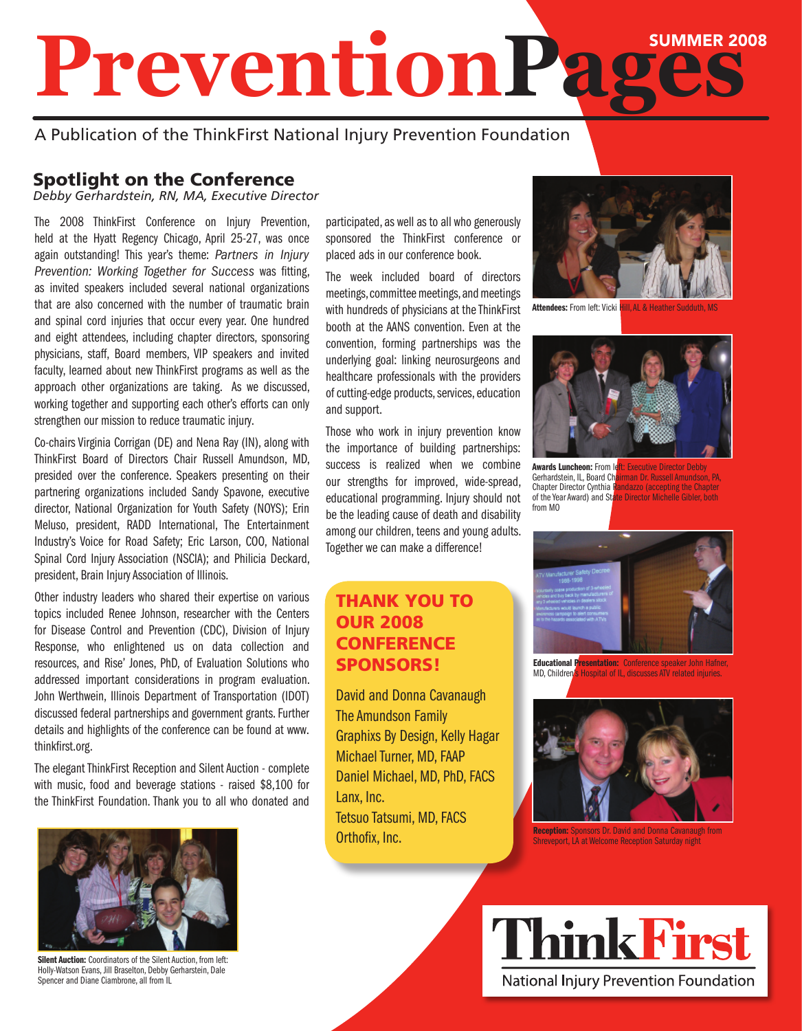# Summer 2008 **PreventionPages**

## A Publication of the ThinkFirst National Injury Prevention Foundation

## Spotlight on the Conference

*Debby Gerhardstein, RN, MA, Executive Director*

The 2008 ThinkFirst Conference on Injury Prevention, held at the Hyatt Regency Chicago, April 25-27, was once again outstanding! This year's theme: *Partners in Injury Prevention: Working Together for Success* was fitting, as invited speakers included several national organizations that are also concerned with the number of traumatic brain and spinal cord injuries that occur every year. One hundred and eight attendees, including chapter directors, sponsoring physicians, staff, Board members, VIP speakers and invited faculty, learned about new ThinkFirst programs as well as the approach other organizations are taking. As we discussed, working together and supporting each other's efforts can only strengthen our mission to reduce traumatic injury.

Co-chairs Virginia Corrigan (DE) and Nena Ray (IN), along with ThinkFirst Board of Directors Chair Russell Amundson, MD, presided over the conference. Speakers presenting on their partnering organizations included Sandy Spavone, executive director, National Organization for Youth Safety (NOYS); Erin Meluso, president, RADD International, The Entertainment Industry's Voice for Road Safety; Eric Larson, COO, National Spinal Cord Injury Association (NSCIA); and Philicia Deckard, president, Brain Injury Association of Illinois.

Other industry leaders who shared their expertise on various topics included Renee Johnson, researcher with the Centers for Disease Control and Prevention (CDC), Division of Injury Response, who enlightened us on data collection and resources, and Rise' Jones, PhD, of Evaluation Solutions who addressed important considerations in program evaluation. John Werthwein, Illinois Department of Transportation (IDOT) discussed federal partnerships and government grants. Further details and highlights of the conference can be found at www. thinkfirst.org.

The elegant ThinkFirst Reception and Silent Auction - complete with music, food and beverage stations - raised \$8,100 for the ThinkFirst Foundation. Thank you to all who donated and



Silent Auction: Coordinators of the Silent Auction, from left: Holly-Watson Evans, Jill Braselton, Debby Gerharstein, Dale Spencer and Diane Ciambrone, all from IL

participated, as well as to all who generously sponsored the ThinkFirst conference or placed ads in our conference book.

The week included board of directors meetings, committee meetings, and meetings with hundreds of physicians at the ThinkFirst booth at the AANS convention. Even at the convention, forming partnerships was the underlying goal: linking neurosurgeons and healthcare professionals with the providers of cutting-edge products, services, education and support.

Those who work in injury prevention know the importance of building partnerships: success is realized when we combine our strengths for improved, wide-spread, educational programming. Injury should not be the leading cause of death and disability among our children, teens and young adults. Together we can make a difference!

## Thank You to our 2008 **CONFERENCE** Sponsors!

David and Donna Cavanaugh The Amundson Family Graphixs By Design, Kelly Hagar Michael Turner, MD, FAAP Daniel Michael, MD, PhD, FACS Lanx, Inc. Tetsuo Tatsumi, MD, FACS Orthofix, Inc.



Attendees: From left: Vicki Hill, AL & Heather Sudduth



Awards Luncheon: From left: Executive Director Debby from MO

Gerhardstein, IL, Board Chairman Dr. Russell Amundson, PA, Chapter Director Cynthia Randazzo (accepting the Chapter andazzo (accepting the Chapter of the Year Award) and State Director Michelle Gibler, both



Educational Presentation: Conference speaker John Hafner,<br>MD, Children's Hospital of IL, discusses ATV related injuries. Hospital of IL, discusses ATV related injuries.



Reception: Sponsors Dr. David and Donna Cavanaugh from Shreveport, LA at Welcome Reception Saturday night

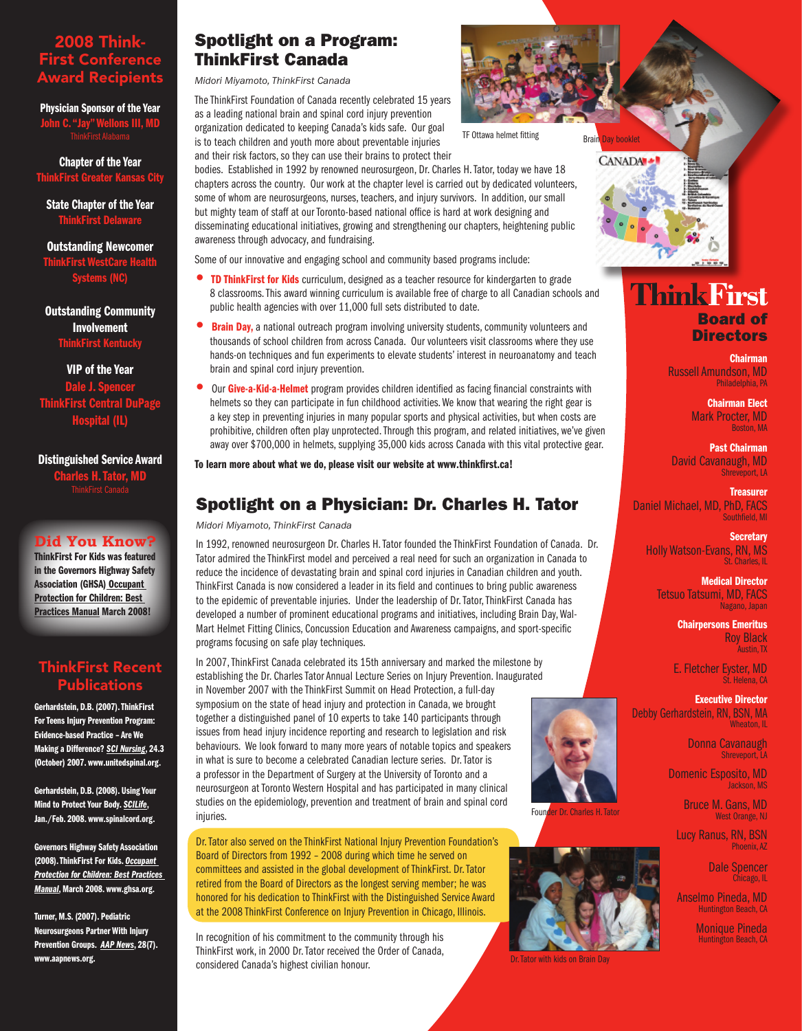#### 2008 Think-First Conference Award Recipients

Physician Sponsor of the Year **C. "Jay" Wellons III, MD** 

Chapter of the Year rst Greater Kar

State Chapter of the Year **ThinkFirst Dela** 

Outstanding Newcomer ThinkFirst WestCare Health Systems (NC)

Outstanding Community Involvement ThinkFirst Kentucky

VIP of the Year Dale J. Sr ThinkFirst Central DuPage Hospital (IL)

Distinguished Service Award Charles H. Tator, MD

#### **Did You Know?**

ThinkFirst For Kids was featured in the Governors Highway Safety Association (GHSA) Occupant Protection for Children: Best Practices Manual March 2008!

#### ThinkFirst Recent Publications

Gerhardstein, D.B. (2007). ThinkFirst For Teens Injury Prevention Program: Evidence-based Practice – Are We Making a Difference? *SCI Nursing*, 24.3 (October) 2007. www.unitedspinal.org.

Gerhardstein, D.B. (2008). Using Your Mind to Protect Your Body. *SCILife*, Jan./Feb. 2008. www.spinalcord.org.

Governors Highway Safety Association (2008). ThinkFirst For Kids. *Occupant Protection for Children: Best Practices Manual*, March 2008. www.ghsa.org.

Turner, M.S. (2007). Pediatric Neurosurgeons Partner With Injury Prevention Groups. *AAP News*, 28(7). www.aapnews.org.

## Spotlight on a Program: ThinkFirst Canada

*Midori Miyamoto, ThinkFirst Canada*

The ThinkFirst Foundation of Canada recently celebrated 15 years as a leading national brain and spinal cord injury prevention organization dedicated to keeping Canada's kids safe. Our goal is to teach children and youth more about preventable injuries and their risk factors, so they can use their brains to protect their

bodies. Established in 1992 by renowned neurosurgeon, Dr. Charles H. Tator, today we have 18 chapters across the country. Our work at the chapter level is carried out by dedicated volunteers, some of whom are neurosurgeons, nurses, teachers, and injury survivors. In addition, our small but mighty team of staff at our Toronto-based national office is hard at work designing and disseminating educational initiatives, growing and strengthening our chapters, heightening public awareness through advocacy, and fundraising.

Some of our innovative and engaging school and community based programs include:

- **TD ThinkFirst for Kids** curriculum, designed as a teacher resource for kindergarten to grade 8 classrooms. This award winning curriculum is available free of charge to all Canadian schools and public health agencies with over 11,000 full sets distributed to date.
- **Brain Day,** a national outreach program involving university students, community volunteers and thousands of school children from across Canada. Our volunteers visit classrooms where they use hands-on techniques and fun experiments to elevate students' interest in neuroanatomy and teach brain and spinal cord injury prevention.
- Our Give-a-Kid-a-Helmet program provides children identified as facing financial constraints with helmets so they can participate in fun childhood activities. We know that wearing the right gear is a key step in preventing injuries in many popular sports and physical activities, but when costs are prohibitive, children often play unprotected. Through this program, and related initiatives, we've given away over \$700,000 in helmets, supplying 35,000 kids across Canada with this vital protective gear.

To learn more about what we do, please visit our website at www.thinkfirst.ca!

## Spotlight on a Physician: Dr. Charles H. Tator

*Midori Miyamoto, ThinkFirst Canada*

In 1992, renowned neurosurgeon Dr. Charles H. Tator founded the ThinkFirst Foundation of Canada. Dr. Tator admired the ThinkFirst model and perceived a real need for such an organization in Canada to reduce the incidence of devastating brain and spinal cord injuries in Canadian children and youth. ThinkFirst Canada is now considered a leader in its field and continues to bring public awareness to the epidemic of preventable injuries. Under the leadership of Dr. Tator, ThinkFirst Canada has developed a number of prominent educational programs and initiatives, including Brain Day, Wal-Mart Helmet Fitting Clinics, Concussion Education and Awareness campaigns, and sport-specific programs focusing on safe play techniques.

In 2007, ThinkFirst Canada celebrated its 15th anniversary and marked the milestone by establishing the Dr. Charles Tator Annual Lecture Series on Injury Prevention. Inaugurated in November 2007 with the ThinkFirst Summit on Head Protection, a full-day symposium on the state of head injury and protection in Canada, we brought together a distinguished panel of 10 experts to take 140 participants through issues from head injury incidence reporting and research to legislation and risk behaviours. We look forward to many more years of notable topics and speakers in what is sure to become a celebrated Canadian lecture series. Dr. Tator is a professor in the Department of Surgery at the University of Toronto and a neurosurgeon at Toronto Western Hospital and has participated in many clinical studies on the epidemiology, prevention and treatment of brain and spinal cord injuries.

Dr. Tator also served on the ThinkFirst National Injury Prevention Foundation's Board of Directors from 1992 – 2008 during which time he served on committees and assisted in the global development of ThinkFirst. Dr. Tator retired from the Board of Directors as the longest serving member; he was honored for his dedication to ThinkFirst with the Distinguished Service Award at the 2008 ThinkFirst Conference on Injury Prevention in Chicago, Illinois.

In recognition of his commitment to the community through his ThinkFirst work, in 2000 Dr. Tator received the Order of Canada, considered Canada's highest civilian honour.



CANADA +

## **Think First** Board of **Directors**

Chairman Russell Amundson, MD Philadelphia, PA

> Chairman Elect Mark Procter, MD Boston, MA

Past Chairman David Cavanaugh, MD Shreveport, LA

**Treasurer** Daniel Michael, MD, PhD, FACS Southfield, MI

> **Secretary** Holly Watson-Evans, RN, MS St. Charles, IL

Medical Director Tetsuo Tatsumi, MD, FACS Nagano, Japan

> Chairpersons Emeritus Roy Black Austin, TX

E. Fletcher Eyster, MD St. Helena, CA

Executive Director Debby Gerhardstein, RN, BSN, MA Wheaton, IL

> Donna Cavanaugh Shreveport, LA

Domenic Esposito, MD Jackson, MS

> Bruce M. Gans, MD West Orange, NJ

Lucy Ranus, RN, BSN Phoenix, AZ

> Dale Spencer Chicago, IL

Anselmo Pineda, MD Huntington Beach, CA

> Monique Pineda Huntington Beach, CA

TF Ottawa helmet fitting Brain Day booklet



Founder Dr. Charles H. Tator



Dr. Tator with kids on Brain Day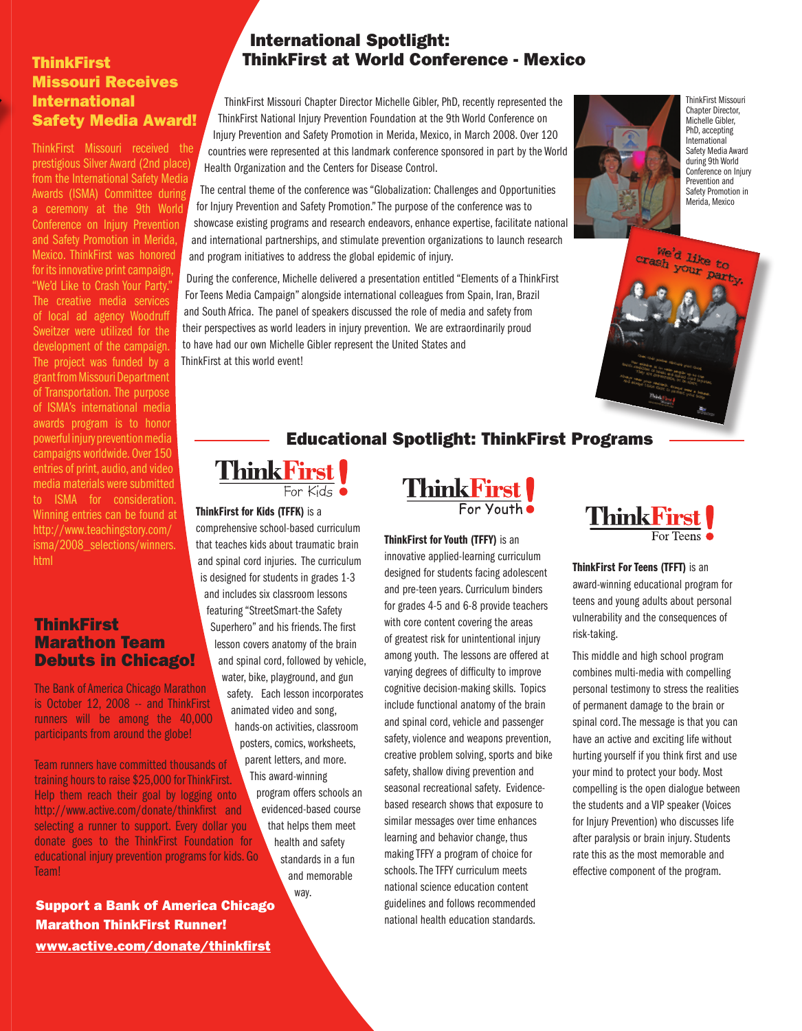#### **ThinkFirst** Missouri Receives **International** Safety Media Award!

ThinkFirst Missouri received the prestigious Silver Award (2nd place) from the International Safety Media Awards (ISMA) Committee during a ceremony at the 9th World Conference on Injury Prevention and Safety Promotion in Merida, Mexico. ThinkFirst was honored for its innovative print campaign, "We'd Like to Crash Your Party." The creative media services of local ad agency Woodruff Sweitzer were utilized for the development of the campaign. The project was funded by a grant from Missouri Department of Transportation. The purpose of ISMA's international media awards program is to honor powerful injury prevention media campaigns worldwide. Over 150 entries of print, audio, and video media materials were submitted to ISMA for consideration. Winning entries can be found at http://www.teachingstory.com/ isma/2008\_selections/winners. html

#### ThinkFirst Marathon Team Debuts in Chicago!

The Bank of America Chicago Marathon is October 12, 2008 -- and ThinkFirst runners will be among the 40,000 participants from around the globe!

Team runners have committed thousands of training hours to raise \$25,000 for ThinkFirst. Help them reach their goal by logging onto http://www.active.com/donate/thinkfirst and selecting a runner to support. Every dollar you donate goes to the ThinkFirst Foundation for educational injury prevention programs for kids. Go Team!

Support a Bank of America Chicago Marathon ThinkFirst Runner! www.active.com/donate/thinkfirst

#### International Spotlight: ThinkFirst at World Conference - Mexico

ThinkFirst Missouri Chapter Director Michelle Gibler, PhD, recently represented the ThinkFirst National Injury Prevention Foundation at the 9th World Conference on Injury Prevention and Safety Promotion in Merida, Mexico, in March 2008. Over 120 countries were represented at this landmark conference sponsored in part by the World Health Organization and the Centers for Disease Control.

The central theme of the conference was "Globalization: Challenges and Opportunities for Injury Prevention and Safety Promotion." The purpose of the conference was to showcase existing programs and research endeavors, enhance expertise, facilitate national and international partnerships, and stimulate prevention organizations to launch research and program initiatives to address the global epidemic of injury.

During the conference, Michelle delivered a presentation entitled "Elements of a ThinkFirst For Teens Media Campaign" alongside international colleagues from Spain, Iran, Brazil and South Africa. The panel of speakers discussed the role of media and safety from their perspectives as world leaders in injury prevention. We are extraordinarily proud to have had our own Michelle Gibler represent the United States and ThinkFirst at this world event!



ThinkFirst Missouri Chapter Director, Michelle Gibler, PhD, accepting International Safety Media Award during 9th World Conference on Injury Prevention and Safety Promotion in Merida, Mexico

We'd like to crash Your party.

## Educational Spotlight: ThinkFirst Programs

# **ThinkFirst** For Kids  $\bullet$

ThinkFirst for Kids (TFFK) is a

comprehensive school-based curriculum that teaches kids about traumatic brain and spinal cord injuries. The curriculum is designed for students in grades 1-3 and includes six classroom lessons featuring "StreetSmart-the Safety Superhero" and his friends. The first lesson covers anatomy of the brain and spinal cord, followed by vehicle, water, bike, playground, and gun safety. Each lesson incorporates animated video and song, hands-on activities, classroom

posters, comics, worksheets, parent letters, and more. This award-winning

> program offers schools an evidenced-based course that helps them meet health and safety standards in a fun and memorable way.

Think First

ThinkFirst for Youth (TFFY) is an innovative applied-learning curriculum designed for students facing adolescent and pre-teen years. Curriculum binders for grades 4-5 and 6-8 provide teachers with core content covering the areas of greatest risk for unintentional injury among youth. The lessons are offered at varying degrees of difficulty to improve cognitive decision-making skills. Topics include functional anatomy of the brain and spinal cord, vehicle and passenger safety, violence and weapons prevention, creative problem solving, sports and bike safety, shallow diving prevention and seasonal recreational safety. Evidencebased research shows that exposure to similar messages over time enhances learning and behavior change, thus making TFFY a program of choice for schools. The TFFY curriculum meets national science education content guidelines and follows recommended national health education standards.



ThinkFirst For Teens (TFFT) is an award-winning educational program for teens and young adults about personal vulnerability and the consequences of risk-taking.

This middle and high school program combines multi-media with compelling personal testimony to stress the realities of permanent damage to the brain or spinal cord. The message is that you can have an active and exciting life without hurting yourself if you think first and use your mind to protect your body. Most compelling is the open dialogue between the students and a VIP speaker (Voices for Injury Prevention) who discusses life after paralysis or brain injury. Students rate this as the most memorable and effective component of the program.